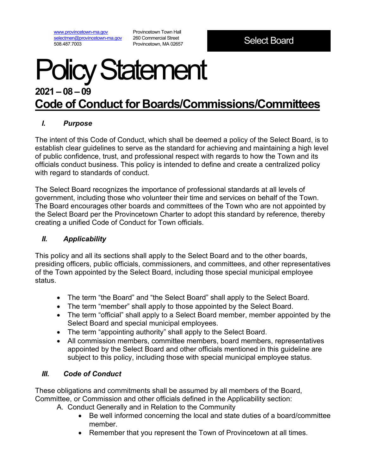[www.provincetown-ma.gov](http://www.provincetown-ma.gov/) [selectmen@provincetown-ma.gov](mailto:selectmen@provincetown-ma.gov) 508.487.7003

Provincetown Town Hall 260 Commercial Street Provincetown, MA 02657

# Policy Statement **2021 – 08 – 09**

## **Code of Conduct for Boards/Commissions/Committees**

### *I. Purpose*

The intent of this Code of Conduct, which shall be deemed a policy of the Select Board, is to establish clear guidelines to serve as the standard for achieving and maintaining a high level of public confidence, trust, and professional respect with regards to how the Town and its officials conduct business. This policy is intended to define and create a centralized policy with regard to standards of conduct.

The Select Board recognizes the importance of professional standards at all levels of government, including those who volunteer their time and services on behalf of the Town. The Board encourages other boards and committees of the Town who are not appointed by the Select Board per the Provincetown Charter to adopt this standard by reference, thereby creating a unified Code of Conduct for Town officials.

#### *II. Applicability*

This policy and all its sections shall apply to the Select Board and to the other boards, presiding officers, public officials, commissioners, and committees, and other representatives of the Town appointed by the Select Board, including those special municipal employee status.

- The term "the Board" and "the Select Board" shall apply to the Select Board.
- The term "member" shall apply to those appointed by the Select Board.
- The term "official" shall apply to a Select Board member, member appointed by the Select Board and special municipal employees.
- The term "appointing authority" shall apply to the Select Board.
- All commission members, committee members, board members, representatives appointed by the Select Board and other officials mentioned in this guideline are subject to this policy, including those with special municipal employee status.

### *III. Code of Conduct*

These obligations and commitments shall be assumed by all members of the Board, Committee, or Commission and other officials defined in the Applicability section:

A. Conduct Generally and in Relation to the Community

- Be well informed concerning the local and state duties of a board/committee member.
- Remember that you represent the Town of Provincetown at all times.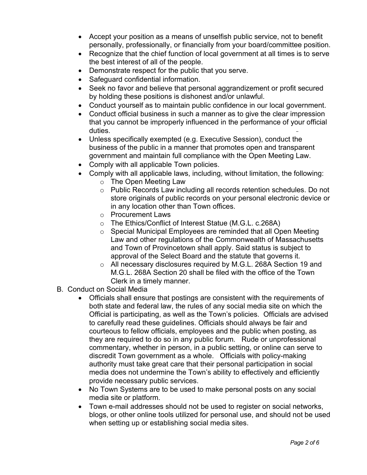- Accept your position as a means of unselfish public service, not to benefit personally, professionally, or financially from your board/committee position.
- Recognize that the chief function of local government at all times is to serve the best interest of all of the people.
- Demonstrate respect for the public that you serve.
- Safeguard confidential information.
- Seek no favor and believe that personal aggrandizement or profit secured by holding these positions is dishonest and/or unlawful.
- Conduct yourself as to maintain public confidence in our local government.
- Conduct official business in such a manner as to give the clear impression that you cannot be improperly influenced in the performance of your official duties.
- Unless specifically exempted (e.g. Executive Session), conduct the business of the public in a manner that promotes open and transparent government and maintain full compliance with the Open Meeting Law.
- Comply with all applicable Town policies.
- Comply with all applicable laws, including, without limitation, the following:
	- o The Open Meeting Law
	- o Public Records Law including all records retention schedules. Do not store originals of public records on your personal electronic device or in any location other than Town offices.
	- o Procurement Laws
	- o The Ethics/Conflict of Interest Statue (M.G.L. c.268A)
	- o Special Municipal Employees are reminded that all Open Meeting Law and other regulations of the Commonwealth of Massachusetts and Town of Provincetown shall apply. Said status is subject to approval of the Select Board and the statute that governs it.
	- o All necessary disclosures required by M.G.L. 268A Section 19 and M.G.L. 268A Section 20 shall be filed with the office of the Town Clerk in a timely manner.
- B. Conduct on Social Media
	- Officials shall ensure that postings are consistent with the requirements of both state and federal law, the rules of any social media site on which the Official is participating, as well as the Town's policies. Officials are advised to carefully read these guidelines. Officials should always be fair and courteous to fellow officials, employees and the public when posting, as they are required to do so in any public forum. Rude or unprofessional commentary, whether in person, in a public setting, or online can serve to discredit Town government as a whole. Officials with policy-making authority must take great care that their personal participation in social media does not undermine the Town's ability to effectively and efficiently provide necessary public services.
	- No Town Systems are to be used to make personal posts on any social media site or platform.
	- Town e-mail addresses should not be used to register on social networks, blogs, or other online tools utilized for personal use, and should not be used when setting up or establishing social media sites.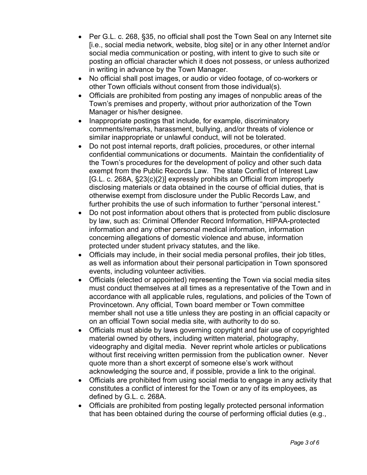- Per G.L. c. 268, §35, no official shall post the Town Seal on any Internet site [i.e., social media network, website, blog site] or in any other Internet and/or social media communication or posting, with intent to give to such site or posting an official character which it does not possess, or unless authorized in writing in advance by the Town Manager.
- No official shall post images, or audio or video footage, of co-workers or other Town officials without consent from those individual(s).
- Officials are prohibited from posting any images of nonpublic areas of the Town's premises and property, without prior authorization of the Town Manager or his/her designee.
- Inappropriate postings that include, for example, discriminatory comments/remarks, harassment, bullying, and/or threats of violence or similar inappropriate or unlawful conduct, will not be tolerated.
- Do not post internal reports, draft policies, procedures, or other internal confidential communications or documents. Maintain the confidentiality of the Town's procedures for the development of policy and other such data exempt from the Public Records Law. The state Conflict of Interest Law [G.L. c. 268A, §23(c)(2)] expressly prohibits an Official from improperly disclosing materials or data obtained in the course of official duties, that is otherwise exempt from disclosure under the Public Records Law, and further prohibits the use of such information to further "personal interest."
- Do not post information about others that is protected from public disclosure by law, such as: Criminal Offender Record Information, HIPAA-protected information and any other personal medical information, information concerning allegations of domestic violence and abuse, information protected under student privacy statutes, and the like.
- Officials may include, in their social media personal profiles, their job titles, as well as information about their personal participation in Town sponsored events, including volunteer activities.
- Officials (elected or appointed) representing the Town via social media sites must conduct themselves at all times as a representative of the Town and in accordance with all applicable rules, regulations, and policies of the Town of Provincetown. Any official, Town board member or Town committee member shall not use a title unless they are posting in an official capacity or on an official Town social media site, with authority to do so.
- Officials must abide by laws governing copyright and fair use of copyrighted material owned by others, including written material, photography, videography and digital media. Never reprint whole articles or publications without first receiving written permission from the publication owner. Never quote more than a short excerpt of someone else's work without acknowledging the source and, if possible, provide a link to the original.
- Officials are prohibited from using social media to engage in any activity that constitutes a conflict of interest for the Town or any of its employees, as defined by G.L. c. 268A.
- Officials are prohibited from posting legally protected personal information that has been obtained during the course of performing official duties (e.g.,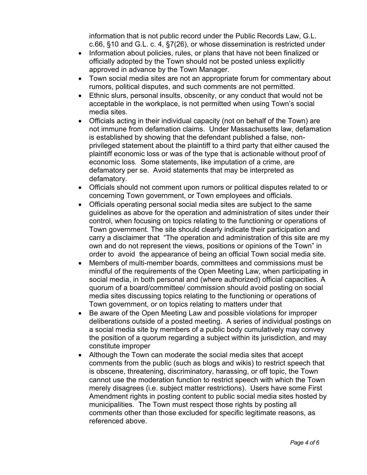information that is not public record under the Public Records Law, G.L. c.66, §10 and G.L. c. 4, §7(26), or whose dissemination is restricted under

- Information about policies, rules, or plans that have not been finalized or officially adopted by the Town should not be posted unless explicitly approved in advance by the Town Manager.
- Town social media sites are not an appropriate forum for commentary about rumors, political disputes, and such comments are not permitted.
- Ethnic slurs, personal insults, obscenity, or any conduct that would not be acceptable in the workplace, is not permitted when using Town's social media sites.
- Officials acting in their individual capacity (not on behalf of the Town) are not immune from defamation claims. Under Massachusetts law, defamation is established by showing that the defendant published a false, nonprivileged statement about the plaintiff to a third party that either caused the plaintiff economic loss or was of the type that is actionable without proof of economic loss. Some statements, like imputation of a crime, are defamatory per se. Avoid statements that may be interpreted as defamatory.
- Officials should not comment upon rumors or political disputes related to or concerning Town government, or Town employees and officials.
- Officials operating personal social media sites are subject to the same guidelines as above for the operation and administration of sites under their control, when focusing on topics relating to the functioning or operations of Town government. The site should clearly indicate their participation and carry a disclaimer that "The operation and administration of this site are my own and do not represent the views, positions or opinions of the Town" in order to avoid the appearance of being an official Town social media site.
- Members of multi-member boards, committees and commissions must be mindful of the requirements of the Open Meeting Law, when participating in social media, in both personal and (where authorized) official capacities. A quorum of a board/committee/ commission should avoid posting on social media sites discussing topics relating to the functioning or operations of Town government, or on topics relating to matters under that
- Be aware of the Open Meeting Law and possible violations for improper deliberations outside of a posted meeting. A series of individual postings on a social media site by members of a public body cumulatively may convey the position of a quorum regarding a subject within its jurisdiction, and may constitute improper
- Although the Town can moderate the social media sites that accept comments from the public (such as blogs and wikis) to restrict speech that is obscene, threatening, discriminatory, harassing, or off topic, the Town cannot use the moderation function to restrict speech with which the Town merely disagrees (i.e. subject matter restrictions). Users have some First Amendment rights in posting content to public social media sites hosted by municipalities. The Town must respect those rights by posting all comments other than those excluded for specific legitimate reasons, as referenced above.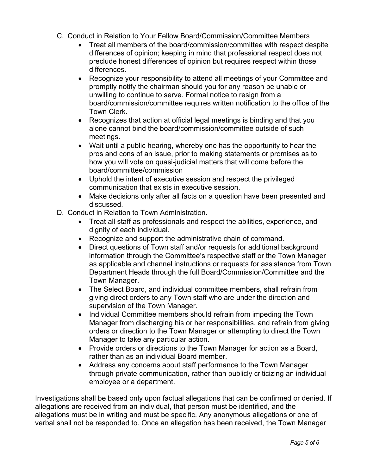- C. Conduct in Relation to Your Fellow Board/Commission/Committee Members
	- Treat all members of the board/commission/committee with respect despite differences of opinion; keeping in mind that professional respect does not preclude honest differences of opinion but requires respect within those differences.
	- Recognize your responsibility to attend all meetings of your Committee and promptly notify the chairman should you for any reason be unable or unwilling to continue to serve. Formal notice to resign from a board/commission/committee requires written notification to the office of the Town Clerk.
	- Recognizes that action at official legal meetings is binding and that you alone cannot bind the board/commission/committee outside of such meetings.
	- Wait until a public hearing, whereby one has the opportunity to hear the pros and cons of an issue, prior to making statements or promises as to how you will vote on quasi-judicial matters that will come before the board/committee/commission
	- Uphold the intent of executive session and respect the privileged communication that exists in executive session.
	- Make decisions only after all facts on a question have been presented and discussed.
- D. Conduct in Relation to Town Administration.
	- Treat all staff as professionals and respect the abilities, experience, and dignity of each individual.
	- Recognize and support the administrative chain of command.
	- Direct questions of Town staff and/or requests for additional background information through the Committee's respective staff or the Town Manager as applicable and channel instructions or requests for assistance from Town Department Heads through the full Board/Commission/Committee and the Town Manager.
	- The Select Board, and individual committee members, shall refrain from giving direct orders to any Town staff who are under the direction and supervision of the Town Manager.
	- Individual Committee members should refrain from impeding the Town Manager from discharging his or her responsibilities, and refrain from giving orders or direction to the Town Manager or attempting to direct the Town Manager to take any particular action.
	- Provide orders or directions to the Town Manager for action as a Board, rather than as an individual Board member.
	- Address any concerns about staff performance to the Town Manager through private communication, rather than publicly criticizing an individual employee or a department.

Investigations shall be based only upon factual allegations that can be confirmed or denied. If allegations are received from an individual, that person must be identified, and the allegations must be in writing and must be specific. Any anonymous allegations or one of verbal shall not be responded to. Once an allegation has been received, the Town Manager